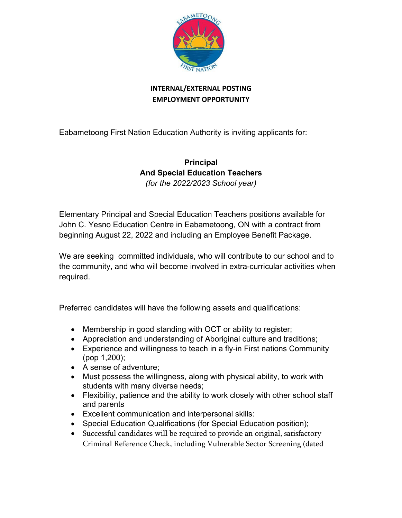

## **INTERNAL/EXTERNAL POSTING EMPLOYMENT OPPORTUNITY**

Eabametoong First Nation Education Authority is inviting applicants for:

## **Principal And Special Education Teachers** *(for the 2022/2023 School year)*

Elementary Principal and Special Education Teachers positions available for John C. Yesno Education Centre in Eabametoong, ON with a contract from beginning August 22, 2022 and including an Employee Benefit Package.

We are seeking committed individuals, who will contribute to our school and to the community, and who will become involved in extra-curricular activities when required.

Preferred candidates will have the following assets and qualifications:

- Membership in good standing with OCT or ability to register;
- Appreciation and understanding of Aboriginal culture and traditions;
- Experience and willingness to teach in a fly-in First nations Community (pop 1,200);
- A sense of adventure;
- Must possess the willingness, along with physical ability, to work with students with many diverse needs;
- Flexibility, patience and the ability to work closely with other school staff and parents
- Excellent communication and interpersonal skills:
- Special Education Qualifications (for Special Education position);
- Successful candidates will be required to provide an original, satisfactory Criminal Reference Check, including Vulnerable Sector Screening (dated